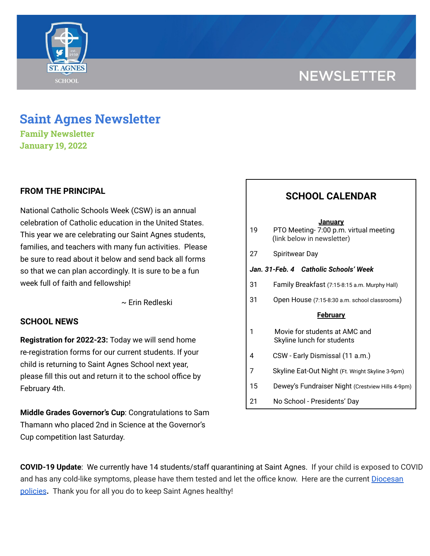# **NEWSLETTER**



## **Saint Agnes Newsletter**

**Family Newsletter January 19, 2022**

### **FROM THE PRINCIPAL**

National Catholic Schools Week (CSW) is an annual celebration of Catholic education in the United States. This year we are celebrating our Saint Agnes students, families, and teachers with many fun activities. Please be sure to read about it below and send back all forms so that we can plan accordingly. It is sure to be a fun week full of faith and fellowship!

~ Erin Redleski

### **SCHOOL NEWS**

**Registration for 2022-23:** Today we will send home re-registration forms for our current students. If your child is returning to Saint Agnes School next year, please fill this out and return it to the school office by February 4th.

**Middle Grades Governor's Cup**: Congratulations to Sam Thamann who placed 2nd in Science at the Governor's Cup competition last Saturday.

## **SCHOOL CALENDAR**

| 19                                    | January<br>PTO Meeting-7:00 p.m. virtual meeting<br>(link below in newsletter) |
|---------------------------------------|--------------------------------------------------------------------------------|
| 27                                    | Spiritwear Day                                                                 |
| Jan. 31-Feb. 4 Catholic Schools' Week |                                                                                |
| 31                                    | Family Breakfast (7:15-8:15 a.m. Murphy Hall)                                  |
| 31                                    | Open House (7:15-8:30 a.m. school classrooms)                                  |
|                                       | <b>February</b>                                                                |
| 1                                     | Movie for students at AMC and<br>Skyline lunch for students                    |

- 4 CSW Early Dismissal (11 a.m.)
- 7 Skyline Eat-Out Night (Ft. Wright Skyline 3-9pm)
- 15 Dewey's Fundraiser Night (Crestview Hills 4-9pm)
- 21 No School Presidents' Day

**COVID-19 Update**: We currently have 14 students/staff quarantining at Saint Agnes. If your child is exposed to COVID and has any cold-like symptoms, please have them tested and let the office know. Here are the current [Diocesan](https://school.saintagnes.com/wp-content/uploads/2022/01/COVID-19-School-Requirements-2021-2022-January-Update.pdf) [policies](https://school.saintagnes.com/wp-content/uploads/2022/01/COVID-19-School-Requirements-2021-2022-January-Update.pdf)**.** Thank you for all you do to keep Saint Agnes healthy!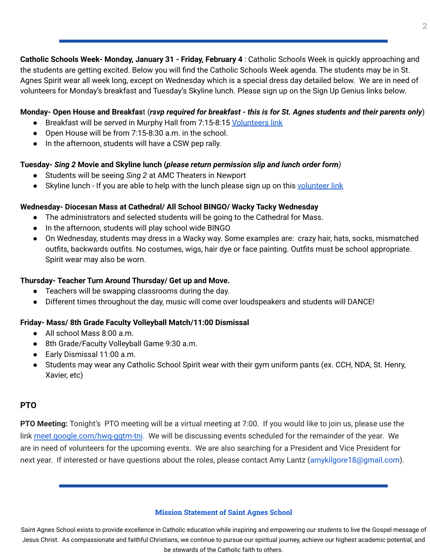**Catholic Schools Week- Monday, January 31 - Friday, February 4** : Catholic Schools Week is quickly approaching and the students are getting excited. Below you will find the Catholic Schools Week agenda. The students may be in St. Agnes Spirit wear all week long, except on Wednesday which is a special dress day detailed below. We are in need of volunteers for Monday's breakfast and Tuesday's Skyline lunch. Please sign up on the Sign Up Genius links below.

#### Monday- Open House and Breakfast (rsvp required for breakfast - this is for St. Agnes students and their parents only)

- Breakfast will be served in Murphy Hall from 7:15-8:15 [Volunteers](https://www.signupgenius.com/go/70A0C4EAAA728A7FF2-family) link
- Open House will be from 7:15-8:30 a.m. in the school.
- In the afternoon, students will have a CSW pep rally.

#### **Tuesday-** *Sing 2* **Movie and Skyline lunch (***please return permission slip and lunch order form)*

- Students will be seeing *Sing 2* at AMC Theaters in Newport
- Skyline lunch If you are able to help with the lunch please sign up on this [volunteer](https://www.signupgenius.com/go/70A0C4EAAA728A7FF2-skyline) link

#### **Wednesday- Diocesan Mass at Cathedral/ All School BINGO/ Wacky Tacky Wednesday**

- The administrators and selected students will be going to the Cathedral for Mass.
- In the afternoon, students will play school wide BINGO
- On Wednesday, students may dress in a Wacky way. Some examples are: crazy hair, hats, socks, mismatched outfits, backwards outfits. No costumes, wigs, hair dye or face painting. Outfits must be school appropriate. Spirit wear may also be worn.

#### **Thursday- Teacher Turn Around Thursday/ Get up and Move.**

- Teachers will be swapping classrooms during the day.
- Different times throughout the day, music will come over loudspeakers and students will DANCE!

### **Friday- Mass/ 8th Grade Faculty Volleyball Match/11:00 Dismissal**

- All school Mass 8:00 a.m.
- 8th Grade/Faculty Volleyball Game 9:30 a.m.
- Early Dismissal 11:00 a.m.
- Students may wear any Catholic School Spirit wear with their gym uniform pants (ex. CCH, NDA, St. Henry, Xavier, etc)

#### **PTO**

**PTO Meeting:** Tonight's PTO meeting will be a virtual meeting at 7:00. If you would like to join us, please use the link [meet.google.com/hwq-ggtm-tni](http://meet.google.com/hwq-ggtm-tni). We will be discussing events scheduled for the remainder of the year. We are in need of volunteers for the upcoming events. We are also searching for a President and Vice President for next year. If interested or have questions about the roles, please contact Amy Lantz (amykilgore18@gmail.com).

#### **Mission Statement of Saint Agnes School**

Saint Agnes School exists to provide excellence in Catholic education while inspiring and empowering our students to live the Gospel message of Jesus Christ. As compassionate and faithful Christians, we continue to pursue our spiritual journey, achieve our highest academic potential, and be stewards of the Catholic faith to others.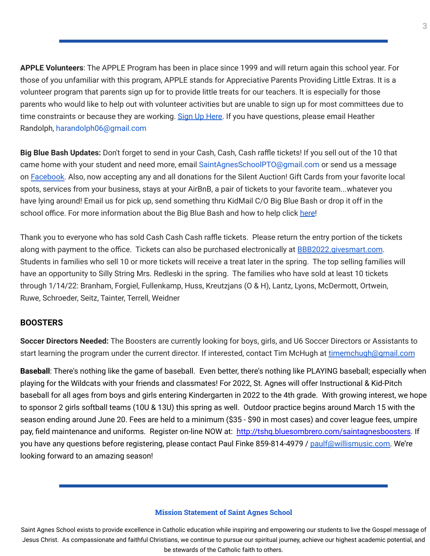**APPLE Volunteers**: The APPLE Program has been in place since 1999 and will return again this school year. For those of you unfamiliar with this program, APPLE stands for Appreciative Parents Providing Little Extras. It is a volunteer program that parents sign up for to provide little treats for our teachers. It is especially for those parents who would like to help out with volunteer activities but are unable to sign up for most committees due to time constraints or because they are working. Sign Up [Here.](https://signup.com/client/invitation2/secure/966981184869166045/false#/invitation) If you have questions, please email Heather Randolph, harandolph06@gmail.com

**Big Blue Bash Updates:** Don't forget to send in your Cash, Cash, Cash raffle tickets! If you sell out of the 10 that came home with your student and need more, email SaintAgnesSchoolPTO@gmail.com or send us a message on [Facebook.](https://www.facebook.com/saintagnesbigbluebash) Also, now accepting any and all donations for the Silent Auction! Gift Cards from your favorite local spots, services from your business, stays at your AirBnB, a pair of tickets to your favorite team...whatever you have lying around! Email us for pick up, send something thru KidMail C/O Big Blue Bash or drop it off in the school office. For more information about the Big Blue Bash and how to help click [here!](https://bbb2022.givesmart.com/)

Thank you to everyone who has sold Cash Cash Cash raffle tickets. Please return the entry portion of the tickets along with payment to the office. Tickets can also be purchased electronically at **[BBB2022.givesmart.com](http://bbb2022.givesmart.com/).** Students in families who sell 10 or more tickets will receive a treat later in the spring. The top selling families will have an opportunity to Silly String Mrs. Redleski in the spring. The families who have sold at least 10 tickets through 1/14/22: Branham, Forgiel, Fullenkamp, Huss, Kreutzjans (O & H), Lantz, Lyons, McDermott, Ortwein, Ruwe, Schroeder, Seitz, Tainter, Terrell, Weidner

#### **BOOSTERS**

**Soccer Directors Needed:** The Boosters are currently looking for boys, girls, and U6 Soccer Directors or Assistants to start learning the program under the current director. If interested, contact Tim McHugh at [timemchugh@gmail.com](mailto:timemchugh@gmail.com)

**Baseball**: There's nothing like the game of baseball. Even better, there's nothing like PLAYING baseball; especially when playing for the Wildcats with your friends and classmates! For 2022, St. Agnes will offer Instructional & Kid-Pitch baseball for all ages from boys and girls entering Kindergarten in 2022 to the 4th grade. With growing interest, we hope to sponsor 2 girls softball teams (10U & 13U) this spring as well. Outdoor practice begins around March 15 with the season ending around June 20. Fees are held to a minimum (\$35 - \$90 in most cases) and cover league fees, umpire pay, field maintenance and uniforms. Register on-line NOW at: <http://tshq.bluesombrero.com/saintagnesboosters>. If you have any questions before registering, please contact Paul Finke 859-814-4979 / [paulf@willismusic.com.](mailto:paulf@willismusic.com) We're looking forward to an amazing season!

#### **Mission Statement of Saint Agnes School**

Saint Agnes School exists to provide excellence in Catholic education while inspiring and empowering our students to live the Gospel message of Jesus Christ. As compassionate and faithful Christians, we continue to pursue our spiritual journey, achieve our highest academic potential, and be stewards of the Catholic faith to others.